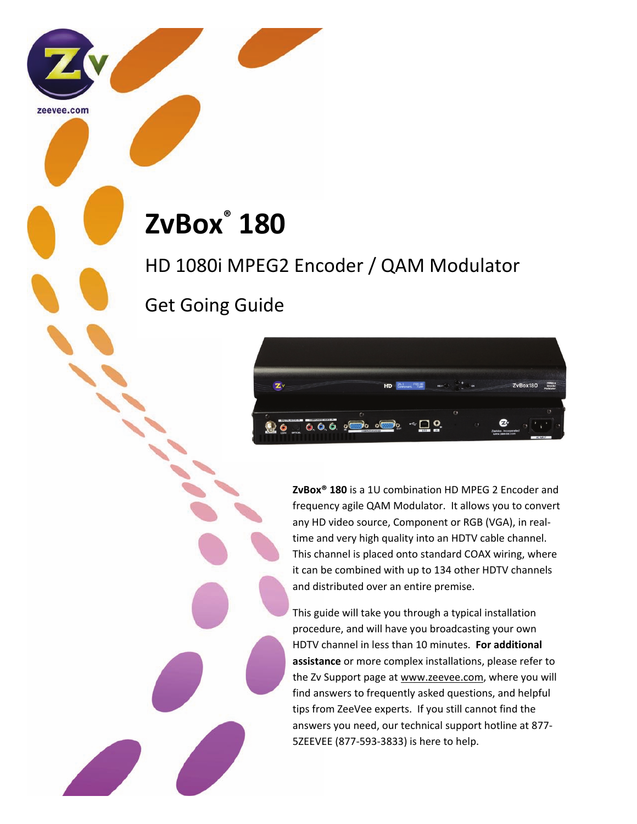# **ZvBox® 180**

the contract of the contract of the

zeevee.com

HD 1080i MPEG2 Encoder / QAM Modulator

Get Going Guide



**ZvBox® 180** is a 1U combination HD MPEG 2 Encoder and frequency agile QAM Modulator. It allows you to convert any HD video source, Component or RGB (VGA), in real‐ time and very high quality into an HDTV cable channel. This channel is placed onto standard COAX wiring, where it can be combined with up to 134 other HDTV channels and distributed over an entire premise.

This guide will take you through a typical installation procedure, and will have you broadcasting your own HDTV channel in less than 10 minutes. **For additional assistance** or more complex installations, please refer to the Zv Support page at www.zeevee.com, where you will find answers to frequently asked questions, and helpful tips from ZeeVee experts. If you still cannot find the answers you need, our technical support hotline at 877‐ 5ZEEVEE (877‐593‐3833) is here to help.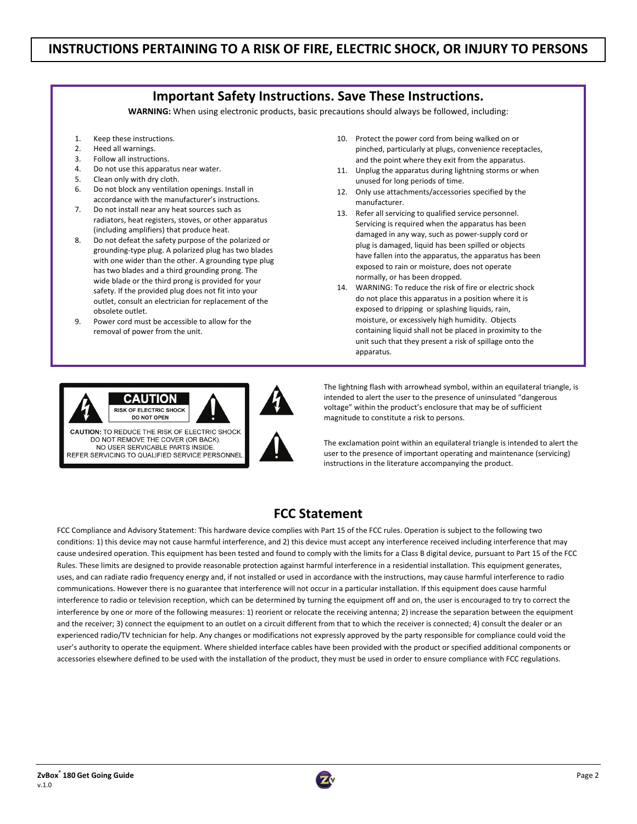### **Important Safety Instructions. Save These Instructions.**

**WARNING:** When using electronic products, basic precautions should always be followed, including:

- 1. Keep these instructions.
- 2. Heed all warnings.
- 3. Follow all instructions.
- 4. Do not use this apparatus near water.
- 5. Clean only with dry cloth.
- 6. Do not block any ventilation openings. Install in accordance with the manufacturer's instructions.
- 7. Do not install near any heat sources such as radiators, heat registers, stoves, or other apparatus (including amplifiers) that produce heat.
- 8. Do not defeat the safety purpose of the polarized or grounding‐type plug. A polarized plug has two blades with one wider than the other. A grounding type plug has two blades and a third grounding prong. The wide blade or the third prong is provided for your safety. If the provided plug does not fit into your outlet, consult an electrician for replacement of the obsolete outlet.
- 9. Power cord must be accessible to allow for the removal of power from the unit.
- 10. Protect the power cord from being walked on or pinched, particularly at plugs, convenience receptacles, and the point where they exit from the apparatus.
- 11. Unplug the apparatus during lightning storms or when unused for long periods of time.
- 12. Only use attachments/accessories specified by the manufacturer.
- 13. Refer all servicing to qualified service personnel. Servicing is required when the apparatus has been damaged in any way, such as power‐supply cord or plug is damaged, liquid has been spilled or objects have fallen into the apparatus, the apparatus has been exposed to rain or moisture, does not operate normally, or has been dropped.
- 14. WARNING: To reduce the risk of fire or electric shock do not place this apparatus in a position where it is exposed to dripping or splashing liquids, rain, moisture, or excessively high humidity. Objects containing liquid shall not be placed in proximity to the unit such that they present a risk of spillage onto the apparatus.



The lightning flash with arrowhead symbol, within an equilateral triangle, is intended to alert the user to the presence of uninsulated "dangerous voltage" within the product's enclosure that may be of sufficient magnitude to constitute a risk to persons.

The exclamation point within an equilateral triangle is intended to alert the user to the presence of important operating and maintenance (servicing) instructions in the literature accompanying the product.

# **FCC Statement**

FCC Compliance and Advisory Statement: This hardware device complies with Part 15 of the FCC rules. Operation is subject to the following two conditions: 1) this device may not cause harmful interference, and 2) this device must accept any interference received including interference that may cause undesired operation. This equipment has been tested and found to comply with the limits for a Class B digital device, pursuant to Part 15 of the FCC Rules. These limits are designed to provide reasonable protection against harmful interference in a residential installation. This equipment generates, uses, and can radiate radio frequency energy and, if not installed or used in accordance with the instructions, may cause harmful interference to radio communications. However there is no guarantee that interference will not occur in a particular installation. If this equipment does cause harmful interference to radio or television reception, which can be determined by turning the equipment off and on, the user is encouraged to try to correct the interference by one or more of the following measures: 1) reorient or relocate the receiving antenna; 2) increase the separation between the equipment and the receiver; 3) connect the equipment to an outlet on a circuit different from that to which the receiver is connected; 4) consult the dealer or an experienced radio/TV technician for help. Any changes or modifications not expressly approved by the party responsible for compliance could void the user's authority to operate the equipment. Where shielded interface cables have been provided with the product or specified additional components or accessories elsewhere defined to be used with the installation of the product, they must be used in order to ensure compliance with FCC regulations.

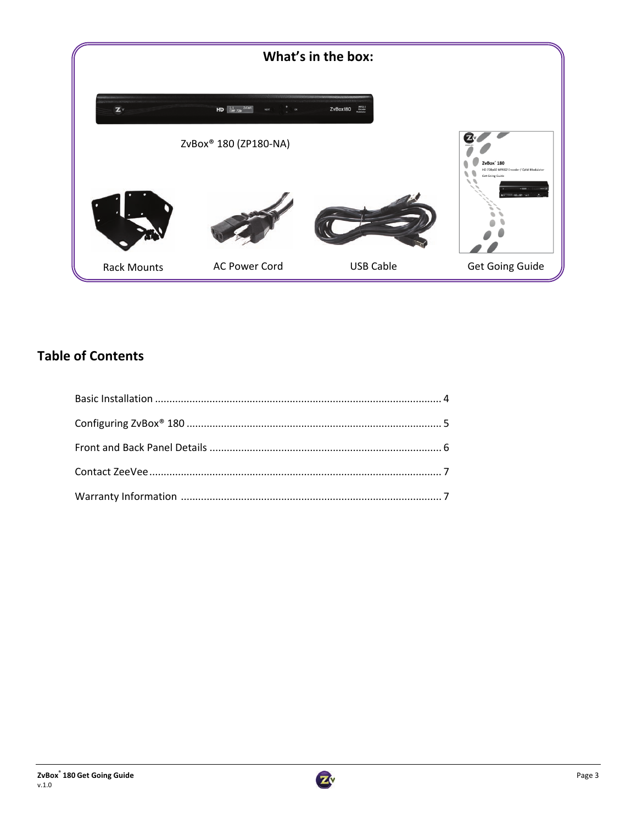

# **Table of Contents**

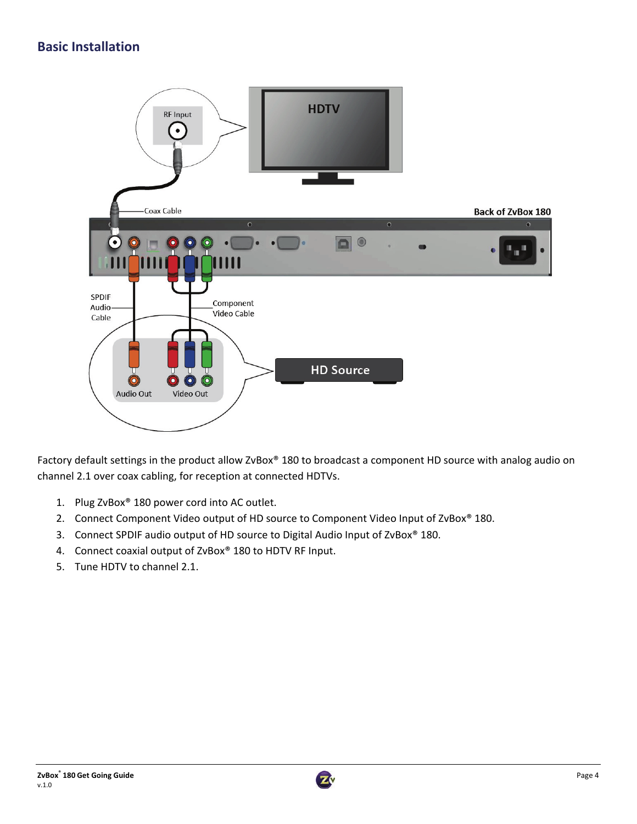# **Basic Installation**



Factory default settings in the product allow ZvBox® 180 to broadcast a component HD source with analog audio on channel 2.1 over coax cabling, for reception at connected HDTVs.

- 1. Plug ZvBox® 180 power cord into AC outlet.
- 2. Connect Component Video output of HD source to Component Video Input of ZvBox<sup>®</sup> 180.
- 3. Connect SPDIF audio output of HD source to Digital Audio Input of ZvBox® 180.
- 4. Connect coaxial output of ZvBox® 180 to HDTV RF Input.
- 5. Tune HDTV to channel 2.1.

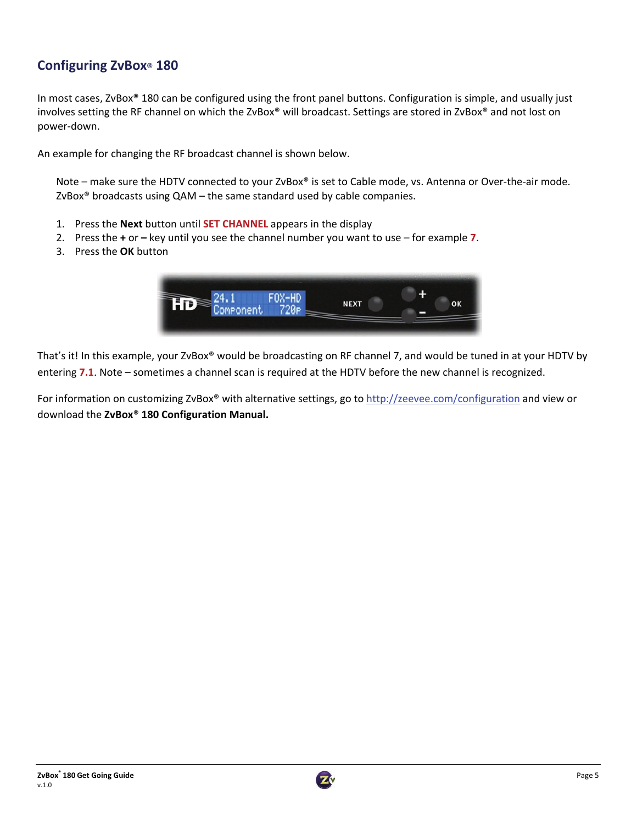## **Configuring ZvBox® 180**

In most cases, ZvBox® 180 can be configured using the front panel buttons. Configuration is simple, and usually just involves setting the RF channel on which the ZvBox® will broadcast. Settings are stored in ZvBox® and not lost on power‐down.

An example for changing the RF broadcast channel is shown below.

Note – make sure the HDTV connected to your ZvBox® is set to Cable mode, vs. Antenna or Over-the-air mode.  $ZvBox^*$  broadcasts using  $QAM -$  the same standard used by cable companies.

- 1. Press the **Next** button until **SET CHANNEL** appears in the display
- 2. Press the **+** or **–** key until you see the channel number you want to use for example **7**.
- 3. Press the **OK** button

| <b><i><u>sent</u></i></b><br>∽ | -<br>700-<br>16 | <b>NEXT</b> | OK |
|--------------------------------|-----------------|-------------|----|
|                                |                 |             |    |

That's it! In this example, your ZvBox® would be broadcasting on RF channel 7, and would be tuned in at your HDTV by entering **7.1**. Note – sometimes a channel scan is required at the HDTV before the new channel is recognized.

For information on customizing ZvBox® with alternative settings, go to http://zeevee.com/configuration and view or download the **ZvBox**® **180 Configuration Manual.**

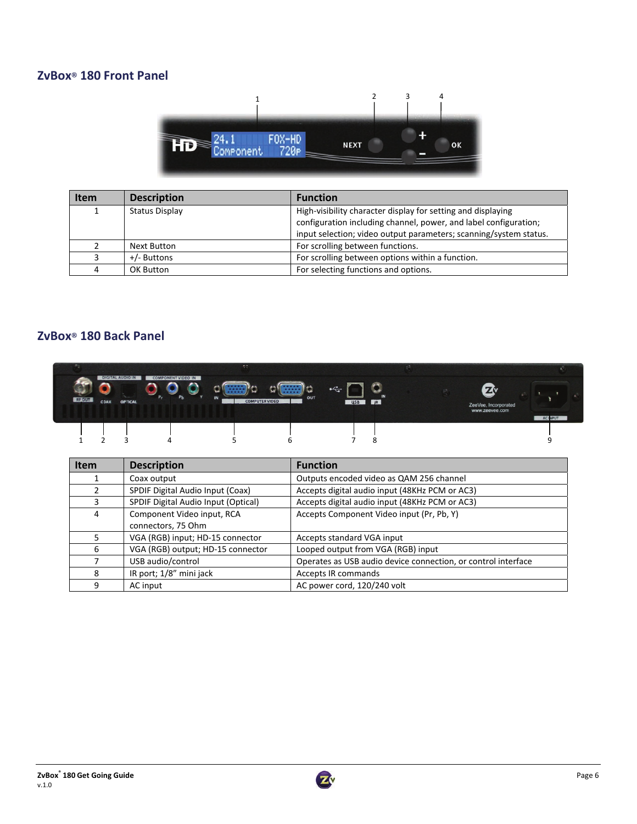## **ZvBox® 180 Front Panel**



| <b>Item</b> | <b>Description</b> | <b>Function</b>                                                   |
|-------------|--------------------|-------------------------------------------------------------------|
|             | Status Display     | High-visibility character display for setting and displaying      |
|             |                    | configuration including channel, power, and label configuration;  |
|             |                    | input selection; video output parameters; scanning/system status. |
|             | Next Button        | For scrolling between functions.                                  |
|             | +/- Buttons        | For scrolling between options within a function.                  |
|             | OK Button          | For selecting functions and options.                              |

## **ZvBox® 180 Back Panel**

|               |             |         |                    | 100 |                              |                              |  |                                              |                |  |
|---------------|-------------|---------|--------------------|-----|------------------------------|------------------------------|--|----------------------------------------------|----------------|--|
| <b>RF OUT</b> | <b>CDAX</b> | OPTICAL | COMPONENT VIDEO IN | IN  | OUT<br><b>COMPUTER VIDEO</b> | $\leftarrow$<br>IN<br>LUSB R |  | Zv<br>ZeeVee, Incorporated<br>www.zeevee.com |                |  |
|               |             |         |                    |     |                              |                              |  |                                              | <b>ACINPUT</b> |  |
|               |             |         |                    |     |                              |                              |  |                                              |                |  |
|               |             |         |                    |     |                              |                              |  |                                              |                |  |

| <b>Item</b> | <b>Description</b>                  | <b>Function</b>                                               |
|-------------|-------------------------------------|---------------------------------------------------------------|
|             | Coax output                         | Outputs encoded video as QAM 256 channel                      |
| 2           | SPDIF Digital Audio Input (Coax)    | Accepts digital audio input (48KHz PCM or AC3)                |
| 3           | SPDIF Digital Audio Input (Optical) | Accepts digital audio input (48KHz PCM or AC3)                |
| 4           | Component Video input, RCA          | Accepts Component Video input (Pr, Pb, Y)                     |
|             | connectors, 75 Ohm                  |                                                               |
| 5.          | VGA (RGB) input; HD-15 connector    | Accepts standard VGA input                                    |
| 6           | VGA (RGB) output; HD-15 connector   | Looped output from VGA (RGB) input                            |
|             | USB audio/control                   | Operates as USB audio device connection, or control interface |
| 8           | IR port; 1/8" mini jack             | <b>Accepts IR commands</b>                                    |
| 9           | AC input                            | AC power cord, 120/240 volt                                   |

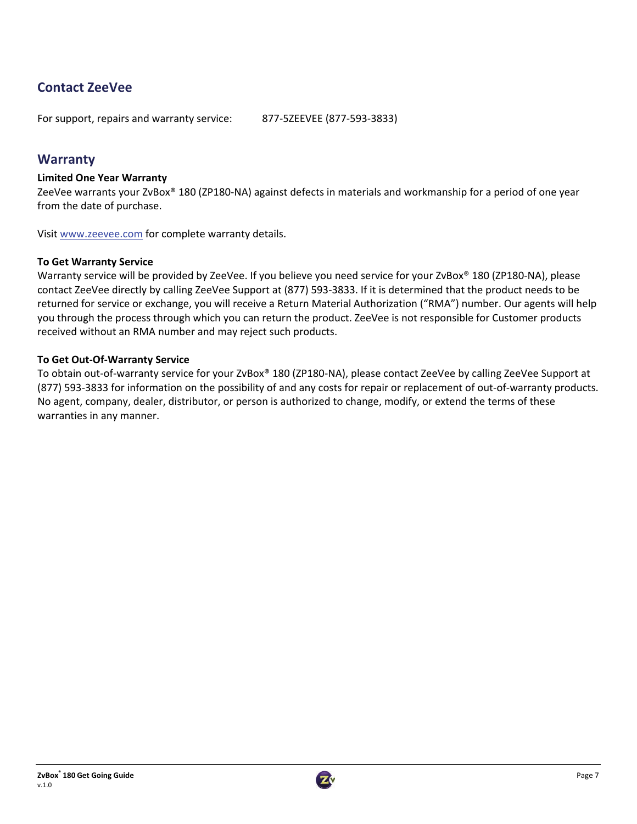# **Contact ZeeVee**

For support, repairs and warranty service: 877-52EEVEE (877-593-3833)

## **Warranty**

#### **Limited One Year Warranty**

ZeeVee warrants your ZvBox® 180 (ZP180‐NA) against defects in materials and workmanship for a period of one year from the date of purchase.

Visit www.zeevee.com for complete warranty details.

#### **To Get Warranty Service**

Warranty service will be provided by ZeeVee. If you believe you need service for your ZvBox® 180 (ZP180-NA), please contact ZeeVee directly by calling ZeeVee Support at (877) 593‐3833. If it is determined that the product needs to be returned for service or exchange, you will receive a Return Material Authorization ("RMA") number. Our agents will help you through the process through which you can return the product. ZeeVee is not responsible for Customer products received without an RMA number and may reject such products.

#### **To Get Out‐Of‐Warranty Service**

To obtain out-of-warranty service for your ZvBox® 180 (ZP180-NA), please contact ZeeVee by calling ZeeVee Support at (877) 593‐3833 for information on the possibility of and any costs for repair or replacement of out‐of‐warranty products. No agent, company, dealer, distributor, or person is authorized to change, modify, or extend the terms of these warranties in any manner.